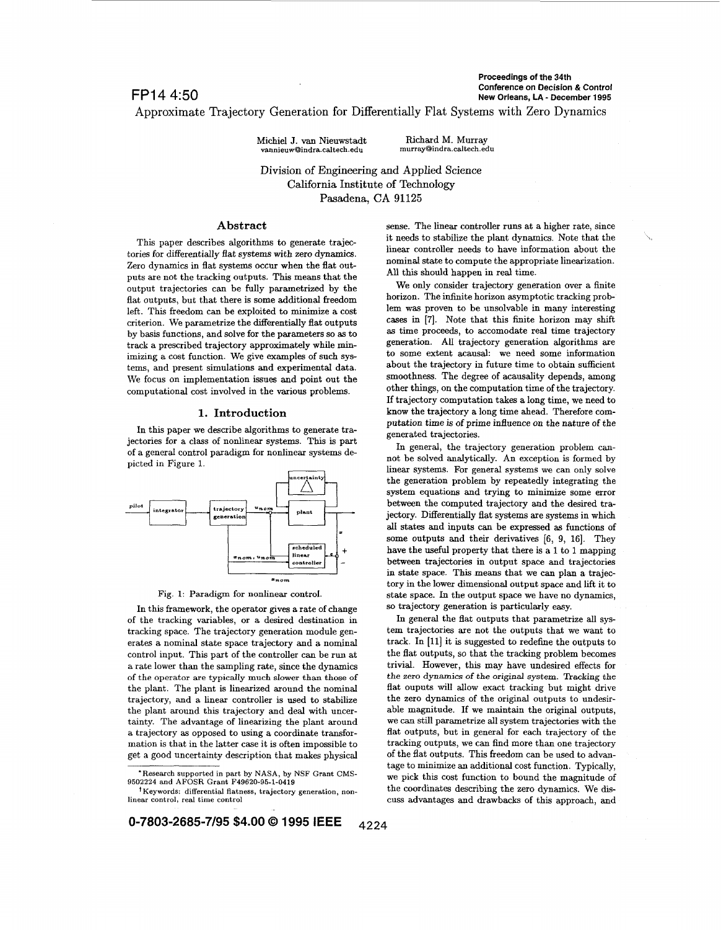**Proceedings of the 34th Conference on Decision** & **Control** FP14 450 **New Orleans, LA** - **December 1995** 

 $\mathcal{L}$ 

Approximate Trajectory Generation for Differentially Flat Systems with Zero Dynamics

Michiel **J.** van Nieuwstadt **[vannieuwQindra.caltech.edu](http://vannieuwQindra.caltech.edu) [murray@indra.caltech.edu](mailto:murray@indra.caltech.edu)** 

Richard M. Murray

Division of Engineering **and Applied Science**  California **Institute of Technology**  Pasadena, **CA 91125** 

# **Abstract**

This paper describes algorithms to generate trajectories for differentially flat systems with zero dynamics. Zero dynamics in flat systems occur when the flat outputs are not the tracking outputs. This means that the output trajectories can be fully parametrized by the flat outputs, but that there is some additional freedom left. This freedom can be exploited to minimize a cost criterion. We parametrize the differentially flat outputs by basis functions, and solve for the parameters *so* **as** to track a prescribed trajectory approximately while minimizing a cost function. We give examples of such systems, and present simulations and experimental data. We focus on implementation issues and point out the computational cost involved in the various problems.

# **1. Introduction**

In this paper we describe algorithms to generate trajectories for a class of nonlinear systems. **This** is part of a general control paradigm for nonlinear systems depicted in Figure l.





In this framework, the operator gives a rate of change of the tracking variables, or a desired destination in tracking space. The trajectory generation module generates a nominal state space trajectory and a nominal control input. This part of the controller can be run at a rate lower than the sampling rate, since the dynamics of **the operator are typically much slower than those of**  the plant. The plant is linearized around the nominal trajectory, and a linear controller is used to stabilize the plant around this trajectory and deal with uncertainty. The advantage **of** linearizing the plant around a trajectory **as** opposed to using a coordinate transformation is that in the latter case it is often impossible to get a good uncertainty description that makes physical

sense. The linear controller runs at a higher rate, since it needs to stabilize the plant dynamics. Note that the linear controller needs to have information about the nominal state to compute the appropriate linearization. All this should happen in red time.

We only consider trajectory generation over a finite horizon. The infinite horizon asymptotic tracking problem was proven to be unsolvable in many interesting cases in [7]. Note that this finite horizon may shift **as** time proceeds, to accomodate real time trajectory generation. **AH** trajectory generation algorithms are to some extent acausal: we need some information about the trajectory in future time to obtain sufficient smoothness. The degree of acausality depends, among other things, on the computation time of the trajectory. **If** trajectory computation takes a long time, we need to know the trajectory a long time ahead. Therefore computation time is of prime influence on the nature of the generated trajectories.

In general, the trajectory generation problem cannot be solved analytically. An exception is formed by linear systems. For general systems we can only solve the generation problem by repeatedly integrating the system equations and trying to minimize some error between the computed trajectory and the desired trajectory. Differentially flat systems are systems in which all states and inputs can be expressed **as** functions of some outputs and their derivatives  $[6, 9, 16]$ . They have the useful property that there is a 1 to 1 mapping between trajectories in output space and trajectories in state space. This means that we can plan a trajectory in the lower dimensional output space and lift it to state space. In the output space we have no dynamics, *so* trajectory generation is particularly easy.

In general the flat outputs that parametrize all system trajectories are not the outputs that we want to track. In [ll] it is suggested to redefine the outputs to the flat outputs, so that the tracking problem becomes trivial. However, this may have undesired effects for **the** *zero* **dynamics of the original system. Tracking** the flat ouputs will allow exact tracking but might drive the zero dynamics of the original outputs to undesirable magnitude. If we maintain the original outputs, we can still parametrize all system trajectories with the flat outputs, but in general for each trajectory of the tracking outputs, we can find more than one trajectory of the flat outputs. This freedom can be used to advantage to minimize an additional cost function. Typically, we pick this cost function to bound the magnitude of the coordinates describing the zero dynamics. We dis-CUSS advantages and drawbacks of this approach, and

**<sup>\*</sup>Research supported in part by NASA, by NSF Grant** CMS- **9502224 and AFOSR Grant F49620-95-1-0419** 

**<sup>&#</sup>x27;Keywords: differential flatness, trajectory generation, nonlinear control, real time control**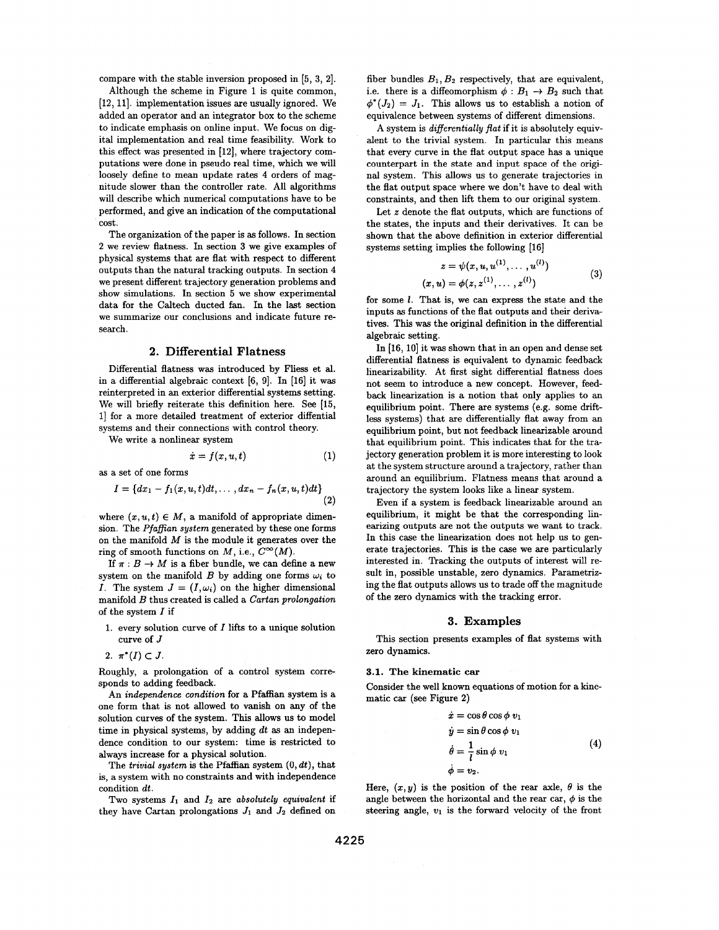compare with the stable inversion proposed in **[5,** 3, **21.** 

Although the scheme in Figure **1** is quite common, **[12, 111.** implementation issues are usually ignored. We added an operator and an integrator box to the scheme to indicate emphasis on online input. We focus on digital implementation and real time feasibility. Work to this effect was presented in **[12],** where trajectory computations were done in pseudo real time, which we will loosely define to mean update rates **4** orders of magnitude slower than the controller rate. All algorithms will describe which numerical computations have to be performed, and give an indication of the computational cost.

The organization of the paper is **as** follows. In section 2 we review flatness. In section 3 we give examples of physical systems that are flat with respect to different outputs than the natural tracking outputs. In section **4**  we present different trajectory generation problems and show simulations. In section **5** we show experimental data for the Caltech ducted fan. In the last section we summarize our conclusions and indicate future research.

# **2. Differential Flatness**

Differential flatness was introduced by Fliess et al. in a differential algebraic context **[6, 91.** In **[16]** it was reinterpreted in **an** exterior differential systems setting. We will briefly reiterate this definition here. See **[15, 11** for a more detailed treatment of exterior diffential systems and their connections with control theory.

We write a nonlinear system

$$
\dot{x} = f(x, u, t) \tag{1}
$$

**as** a set of one forms

$$
I = \{dx_1 - f_1(x, u, t)dt, \ldots, dx_n - f_n(x, u, t)dt\}
$$
\n(2)

where  $(x, u, t) \in M$ , a manifold of appropriate dimension. The *Pfafian system* generated by these one forms on the manifold *M* is the module it generates over the ring of smooth functions on M, i.e.,  $C^{\infty}(M)$ .

If  $\pi : B \to M$  is a fiber bundle, we can define a new system on the manifold *B* by adding one forms  $\omega_i$  to *I.* The system  $J = (I, \omega_i)$  on the higher dimensional manifold *B* thus created is called a *Cartan prolongation*  of the system  $I$  if

- **1.** every solution curve of I lifts to a unique solution curve of *J*
- 2.  $\pi^*(I) \subset J$ .

Roughly, a prolongation of a control system corresponds to adding feedback.

An *independence condition* for a Pfaffian system is a one form that is not allowed to vanish on any of the solution curves of the system. This allows us to model time in physical systems, by adding *dt* **as an** independence condition to our system: time is restricted to always increase for a physical solution.

The *trivial system* is the Pfaffian system  $(0, dt)$ , that is, a system with no constraints and with independence condition *dt.* 

Two systems  $I_1$  and  $I_2$  are *absolutely equivalent* if they have Cartan prolongations *J1* and *J2* defined on

fiber bundles  $B_1, B_2$  respectively, that are equivalent, i.e. there is a diffeomorphism  $\phi : B_1 \rightarrow B_2$  such that  $\phi^*(J_2) = J_1$ . This allows us to establish a notion of equivalence between systems of different dimensions.

A system is *differentially flat* if it is absolutely equivalent to the trivial system. In particular this means that every curve in the flat output space has a unique counterpart in the state and input space of the original system. This allows us to generate trajectories in the flat output space where we don't have to deal with constraints, and then lift them to our original system.

Let *z* denote the flat outputs, which are functions of the states, the inputs and their derivatives. It can be shown that the above definition in exterior differential systems setting implies the following **[16]** 

$$
z = \psi(x, u, u^{(1)}, \dots, u^{(l)})
$$
  
(*x*, *u*) =  $\phi(z, z^{(1)}, \dots, z^{(l)})$  (3)

for some *1.* That is, we can express the state and the inputs **as** functions of the flat outputs and their derivatives. This was the original definition in the differential algebraic setting.

In **[16, 101** it was shown that in an open and dense set differential flatness is equivalent to dynamic feedback lineariaability. At first sight differential flatness does not seem to introduce a new concept. However, feedback linearization is a notion that only applies to an equilibrium point. There are systems (e.g. some driftless systems) that are differentially flat away from an equilibrium point, but not feedback linearizable around that equilibrium point. This indicates that for the trajectory generation problem it is more interesting to look at the system structure around a trajectory, rather than around an equilibrium. Flatness means that around a trajectory the system looks like a linear system.

Even if a system is feedback linearizable around an equilibrium, it might be that the corresponding linearizing outputs are not the outputs we want to track. In this case the linearization does not help us to generate trajectories. This is the case we are particularly interested in. Tracking the outputs of interest will result in, possible unstable, zero dynamics. Parametrizing the flat outputs allows us to trade off the magnitude of the zero dynamics with the tracking error.

# **3. Examples**

This section presents examples of flat systems with zero dynamics.

## **3.1. The** kinematic car

Consider the well known equations of motion for a kinematic car (see Figure **2)** 

$$
\begin{aligned}\n\dot{x} &= \cos \theta \cos \phi \ v_1 \\
\dot{y} &= \sin \theta \cos \phi \ v_1 \\
\dot{\theta} &= \frac{1}{l} \sin \phi \ v_1 \\
\dot{\phi} &= v_2.\n\end{aligned} \tag{4}
$$

Here,  $(x, y)$  is the position of the rear axle,  $\theta$  is the angle between the horizontal and the rear car,  $\phi$  is the steering angle, *vi* is the forward velocity of the front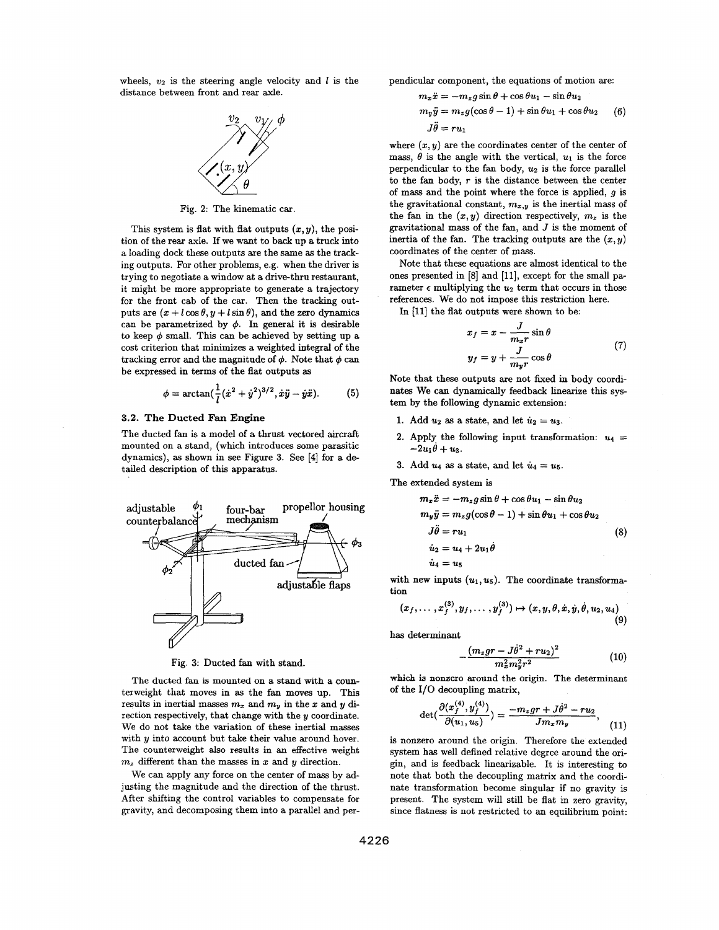wheels,  $v_2$  is the steering angle velocity and  $l$  is the distance between front and rear axle.



Fig. **2:** The kinematic car.

This system is flat with flat outputs  $(x, y)$ , the position of the rear axle. If we want to back **up** a truck into a loading dock these outputs are the same **as** the tracking outputs. For other problems, e.g. when the driver is trying to negotiate a window at a drive-thru restaurant, it might be more appropriate to generate a trajectory for the front cab of the car. Then the tracking outputs are  $(x + l \cos \theta, y + l \sin \theta)$ , and the zero dynamics can be parametrized by  $\phi$ . In general it is desirable to keep  $\phi$  small. This can be achieved by setting up a cost criterion that minimizes a weighted integral of the tracking error and the magnitude of  $\phi$ . Note that  $\phi$  can be expressed in terms of the flat outputs **as** 

$$
\phi = \arctan(\frac{1}{l}(\dot{x}^2 + \dot{y}^2)^{3/2}, \dot{x}\ddot{y} - \dot{y}\ddot{x}).
$$
 (5)

## **3.2. The Ducted Fan Engine**

The ducted fan is a model of a thrust vectored aircraft mounted on a stand, (which introduces some parasitic dynamics), **as** shown in see Figure **3.** See **[4]** for a detailed description of this apparatus.



Fig. **3:** Ducted fan with stand.

The ducted **fan is** mounted on a **stand** with a **coun**terweight that moves in **as** the fan moves up. This results in inertial masses  $m_x$  and  $m_y$  in the x and y direction respectively, that change with the y coordinate. We do not take the variation of these inertial masses with y into account but take their value around hover. The counterweight also results in an effective weight  $m<sub>z</sub>$  different than the masses in x and y direction.

We can apply any force on the center of mass by adjusting the magnitude and the direction of the thrust. After shifting the control variables to compensate for gravity, and decomposing them into a parallel and **per-**

pendicular component, the equations of motion are:

\n
$$
m_x \ddot{x} = -m_z g \sin \theta + \cos \theta u_1 - \sin \theta u_2
$$
\n
$$
m_y \ddot{y} = m_z g (\cos \theta - 1) + \sin \theta u_1 + \cos \theta u_2 \quad (6)
$$
\n
$$
J\ddot{\theta} = r u_1
$$

where  $(x, y)$  are the coordinates center of the center of mass,  $\theta$  is the angle with the vertical,  $u_1$  is the force perpendicular to the fan body,  $u_2$  is the force parallel to the fan body, *r* is the distance between the center of mass and the point where the force is applied, *g* is the gravitational constant,  $m_{x,y}$  is the inertial mass of the fan in the  $(x, y)$  direction respectively,  $m<sub>z</sub>$  is the gravitational mass of the fan, and *J* is the moment of inertia of the fan. The tracking outputs are the  $(x, y)$ coordinates of the center of mass.

Note that these equations are almost identical to the ones presented in [8] and [ll], except for the small parameter  $\epsilon$  multiplying the  $u_2$  term that occurs in those references. We do not impose this restriction here.

In [11] the flat outputs were shown to be:

$$
x_f = x - \frac{J}{m_x r} \sin \theta
$$
  

$$
y_f = y + \frac{J}{m_y r} \cos \theta
$$
 (7)

Note that these outputs are not fixed in body coordinates We *can* dynamically feedback linearize this system by the following dynamic extension:

- 1. Add  $u_2$  as a state, and let  $\dot{u}_2 = u_3$ .
- 2. Apply the following input transformation:  $u_4 =$  $-2u_1\theta + u_3.$
- 3. Add  $u_4$  as a state, and let  $\dot{u}_4 = u_5$ .

The extended system is

$$
m_x \ddot{x} = -m_z g \sin \theta + \cos \theta u_1 - \sin \theta u_2
$$
  
\n
$$
m_y \ddot{y} = m_z g(\cos \theta - 1) + \sin \theta u_1 + \cos \theta u_2
$$
  
\n
$$
J\ddot{\theta} = ru_1
$$
  
\n
$$
\dot{u}_2 = u_4 + 2u_1 \dot{\theta}
$$
  
\n
$$
\dot{u}_4 = u_5
$$
  
\n(8)

with new inputs  $(u_1, u_5)$ . The coordinate transformation

$$
(x_f, \ldots, x_f^{(3)}, y_f, \ldots, y_f^{(3)}) \mapsto (x, y, \theta, \dot{x}, \dot{y}, \dot{\theta}, u_2, u_4)
$$
  
(9)

has determinant

$$
-\frac{(m_z gr - J\dot{\theta}^2 + r u_2)^2}{m_z^2 m_y^2 r^2}
$$
 (10)

**which** is **nonzero** around the origin. The determinant of the 1/0 decoupling matrix,

$$
\det(\frac{\partial(x_f^{(4)}, y_f^{(4)})}{\partial(u_1, u_5)}) = \frac{-m_z gr + J\dot{\theta}^2 - ru_2}{Jm_x m_y}, \quad (11)
$$

is nonzero around the origin. Therefore the extended system has well defined relative degree around the origin, and is feedback linearizable. It is interesting to note that both the decoupling matrix and the coordinate transformation become singular if no gravity is present. The system will still be flat in zero gravity, since flatness is not restricted to an equilibrium point: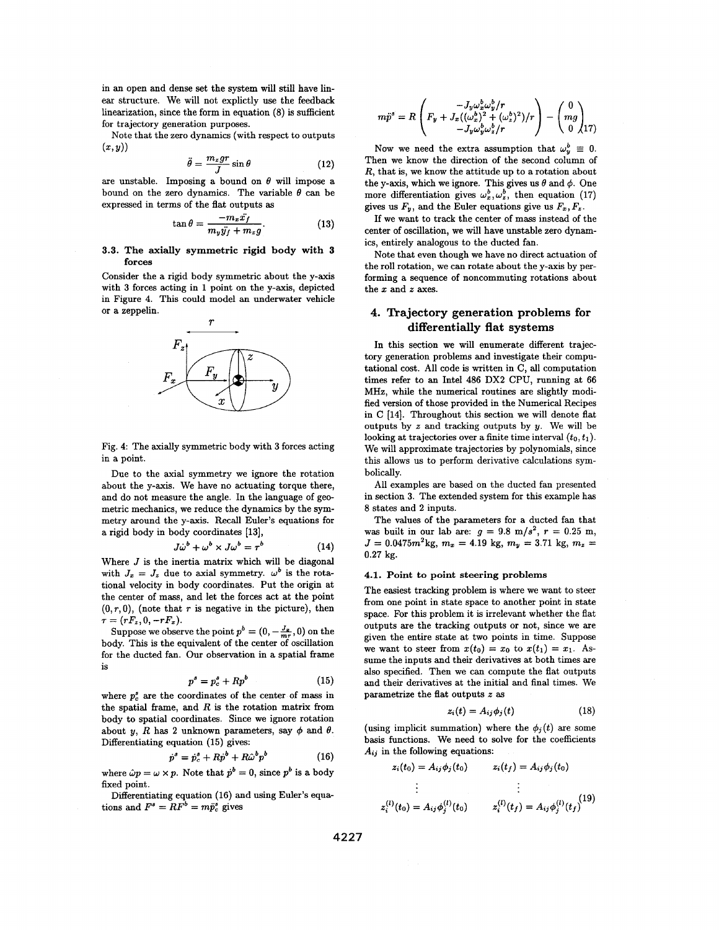in an open and dense set the system will still have linear structure. We will not explictly use the feedback linearization, since the form in equation (8) is sufficient for trajectory generation purposes.

Note that the zero dynamics (with respect to outputs  $(x, y))$ 

$$
\ddot{\theta} = \frac{m_z gr}{J} \sin \theta \tag{12}
$$

 $\frac{J}{\text{area}}$  are unstable. Imposing a bound on  $\theta$  will impose a bound on the zero dynamics. The variable  $\theta$  can be expressed in terms of the flat outputs **as** 

$$
\tan \theta = \frac{-m_x \ddot{x_f}}{m_y \ddot{y_f} + m_z g}.
$$
 (13)

# **3.3.** The axially symmetric rigid body with **3**  forces

Consider the a rigid body symmetric about the y-axis with **3** forces acting in **1** point on the y-axis, depicted in Figure **4.** This could model an underwater vehicle or a zeppelin.



Fig. **4:** The axially symmetric body with **3** forces acting in a point.

Due to the axial symmetry we ignore the rotation about the y-axis. We have no actuating torque there, and do not measure the angle. In the language of geometric mechanics, we reduce the dynamics by the symmetry around the y-axis. Recall Euler's equations for a rigid body in body coordinates **[13],** 

$$
J\dot{\omega}^b + \omega^b \times J\omega^b = \tau^b \tag{14}
$$

Where *J* is the inertia matrix which will be diagonal with  $J_x = J_z$  due to axial symmetry.  $\omega^b$  is the rotational velocity in body coordinates. Put the origin at the center of mass, and let the forces act at the point  $(0, r, 0)$ , (note that *r* is negative in the picture), then  $\tau = (rF_z, 0, -rF_x).$ 

Suppose we observe the point  $p^b = (0, -\frac{J_x}{mr}, 0)$  on the body. This is the equivalent of the center of oscillation for the ducted fan. Our observation in a spatial frame is

$$
p^s = p_c^s + Rp^b \tag{15}
$$

where  $p_c^s$  are the coordinates of the center of mass in the spatial frame, and *R* is the rotation matrix from body to spatial coordinates. Since we ignore rotation about y, *R* has 2 unknown parameters, say  $\phi$  and  $\theta$ . Differentiating equation **(15)** gives:

$$
\dot{p}^s = \dot{p}_c^s + R\dot{p}^b + R\hat{\omega}^b p^b \qquad (16)
$$

where  $\hat{\omega}p = \omega \times p$ . Note that  $\hat{p}^b = 0$ , since  $p^b$  is a body fixed point.

Differentiating equation **(16)** and using Euler's equations and  $F^s = RF^b = m\ddot{p}_c^s$  gives

$$
m\ddot{p}^s = R\left(F_y + J_x((\omega_x^b)^2 + (\omega_z^b)^2)/r\right) - \begin{pmatrix}0\\mg\\-J_y\omega_y^b\omega_z^b/r\end{pmatrix}
$$

Now we need the extra assumption that  $\omega_n^b \equiv 0$ . Then we know the direction of the second column of *R,* that is, we know the attitude up to a rotation about the y-axis, which we ignore. This gives us  $\theta$  and  $\phi$ . One more differentiation gives  $\omega_x^b, \omega_z^b$ , then equation (17) gives us  $F_u$ , and the Euler equations give us  $F_x, F_z$ .

If we want to track the center of mass instead of the center of oscillation, we will have unstable zero dynamics, entirely analogous to the ducted fan.

Note that even though we have no direct actuation of the roll rotation, we can rotate about the y-axis by performing a sequence of noncommuting rotations about the *x* and *z* axes.

# **4. Trajectory generation problems for differentially flat systems**

In this section we will enumerate different trajectory generation problems and investigate their computational cost. All code is written in C, all computation times refer to an Intel **486 DX2** CPU, running at **66**  MHz, while the numerical routines are slightly modified version of those provided in the Numerical Recipes in C **[14].** Throughout this section we will denote flat outputs by  $z$  and tracking outputs by  $y$ . We will be looking at trajectories over a finite time interval  $(t_0, t_1)$ . We will approximate trajectories by polynomials, since this allows us to perform derivative calculations symbolically.

All examples are based on the ducted fan presented in section **3.** The extended system for this example has 8 states and **2** inputs.

The values of the parameters for a ducted fan that was built in our lab are:  $g = 9.8 \text{ m/s}^2$ ,  $r = 0.25 \text{ m}$ ,  $J = 0.0475m^2$ kg,  $m_x = 4.19$  kg,  $m_y = 3.71$  kg,  $m_z =$ 0.27 kg.

### **4.1.** Point to point steering problems

The easiest tracking problem is where we want to steer from one point in state space to another point in state space. For this problem it is irrelevant whether the flat outputs are the tracking outputs or not, since we are given the entire state at two points in time. Suppose we want to steer from  $x(t_0) = x_0$  to  $x(t_1) = x_1$ . Assume the inputs and their derivatives at both times are also specified. Then we can compute the flat outputs and their derivatives at the initial and final times. We parametrize the flat outputs *z* **as** 

$$
z_i(t) = A_{ij}\phi_j(t) \tag{18}
$$

(using implicit summation) where the  $\phi_j(t)$  are some basis functions. We need to solve for the coefficients *Ai,* in the following equations:

$$
z_i(t_0) = A_{ij}\phi_j(t_0) \qquad z_i(t_f) = A_{ij}\phi_j(t_0)
$$
  
\n
$$
\vdots \qquad \qquad \vdots
$$
  
\n
$$
z_i^{(l)}(t_0) = A_{ij}\phi_j^{(l)}(t_0) \qquad z_i^{(l)}(t_f) = A_{ij}\phi_j^{(l)}(t_f)
$$
  
\n(19)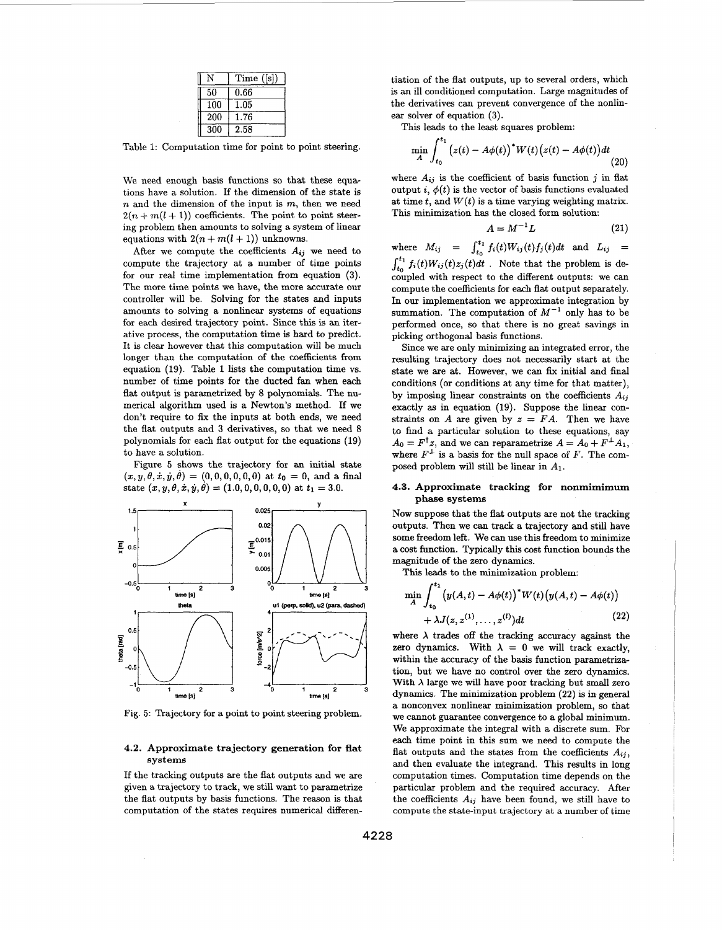| N   | Time (s) |
|-----|----------|
| 50  | 0.66     |
| 100 | 1.05     |
| 200 | 1.76     |
| 300 | 2.58     |

Table 1: Computation time for point to point steering.

We need enough basis functions so that these equations have a solution. If the dimension of the state is *n* and the dimension of the input is *m,* then we need  $2(n + m(l + 1))$  coefficients. The point to point steering problem then amounts to solving a system of linear equations with  $2(n + m(l + 1))$  unknowns.

After we compute the coefficients  $A_{ij}$  we need to compute the trajectory at a number of time points for our real time implementation from equation **(3).**  The more time points we have, the more accurate our controller will be. Solving for the states and inputs amounts to solving a nonlinear systems of equations for each desired trajectory point. Since this is an iterative process, the computation time is hard to predict. It is clear however that this computation will be much longer than the computation of the coefficients from equation (19). Table 1 lists the computation time vs. number of time points for the ducted fan when each flat output is parametrized by 8 polynomials. The numerical algorithm used is a Newton's method. If we don't require to fix the inputs at both ends, we need the flat outputs and **3** derivatives, so that we need 8 polynomials for each flat output for the equations (19) to have a solution.

Figure 5 shows the trajectory for **an** initial state  $(x, y, \theta, \dot{x}, \dot{y}, \dot{\theta}) = (0, 0, 0, 0, 0, 0)$  at  $t_0 = 0$ , and a final state  $(x, y, \theta, \dot{x}, \dot{y}, \dot{\theta}) = (1.0, 0, 0, 0, 0, 0)$  at  $t_1 = 3.0$ .



Fig. 5: Trajectory for a point to point steering problem.

# **4.2.** Approximate trajectory generation **for** flat systems

If the tracking outputs are the flat outputs and we are given a trajectory to track, we still want to parametrize the flat outputs by basis functions. The reason is that computation of the states requires numerical differentiation of the flat outputs, up to several orders, which is an ill conditioned computation. Large magnitudes of the derivatives can prevent convergence of the nonlin*ear* solver of equation **(3).** 

This leads to the least squares problem:

$$
\min_{A} \int_{t_0}^{t_1} \left( z(t) - A\phi(t) \right)^* W(t) \left( z(t) - A\phi(t) \right) dt \tag{20}
$$

where  $A_{ij}$  is the coefficient of basis function  $j$  in flat output *i*,  $\phi(t)$  is the vector of basis functions evaluated at time t, and  $W(t)$  is a time varying weighting matrix. This minimization **has** the closed form solution:

$$
A = M^{-1}L \tag{21}
$$

where  $M_{ij} = \int_{t_0}^{t_1} f_i(t)W_{ij}(t)f_j(t)dt$  and  $L_{ij} =$  $\int_{t_0}^{t_1} f_i(t)W_{ij}(t)z_j(t)dt$ . Note that the problem is decoupled with respect to the different outputs: we can compute the coefficients for each flat output separately. In our implementation we approximate integration by summation. The computation of  $M^{-1}$  only has to be performed once, so that there is no great savings in picking orthogonal basis functions.

Since we are only minimizing an integrated error, the resulting trajectory does not necessarily start at the state we are at. However, we can fix initial and final conditions (or conditions at any time for that matter), by imposing linear constraints on the coefficients *Aij*  exactly **as** in equation (19). Suppose the linear constraints on *A* are given by  $z = FA$ . Then we have to find a particular solution to these equations, say  $A_0 = F^{\dagger}z$ , and we can reparametrize  $A = A_0 + F^{\perp}A_1$ , where  $F^{\perp}$  is a basis for the null space of *F*. The composed problem will still be linear in **Al.** 

## **4.3.** Approximate tracking **for** nonmimimum **phase** systems

**NOW** suppose that the flat outputs are not the tracking outputs. Then **we** *can* track a trajectory and still have some freedom left. We can use this freedom to minimize a *cost* function. Typically this cost function bounds the magnitude of the zero dynamics.

**This** leads to the minimization problem:

$$
\min_{A} \int_{t_0}^{t_1} \left( y(A, t) - A\phi(t) \right)^* W(t) \left( y(A, t) - A\phi(t) \right) + \lambda J(z, z^{(1)}, \dots, z^{(l)}) dt \tag{22}
$$

where  $\lambda$  trades off the tracking accuracy against the zero dynamics. With  $\lambda = 0$  we will track exactly, within the accuracy of the basis function parametrization, but we have no control over the zero dynamics. With  $\lambda$  large we will have poor tracking but small zero dynamics. The minimization problem **(22)** is in general a nonconvex nonlinear minimization problem, so that we cannot guarantee convergence to a global minimum. We approximate the integral with a discrete sum. For each time point in this sum we need to compute the flat outputs and the states from the coefficients *Aij,*  and then evaluate the integrand. This results in long computation times. Computation time depends on the particular problem and the required accuracy. After the coefficients *Atj* have been found, we still have to compute the state-input trajectory at a number **of** time

I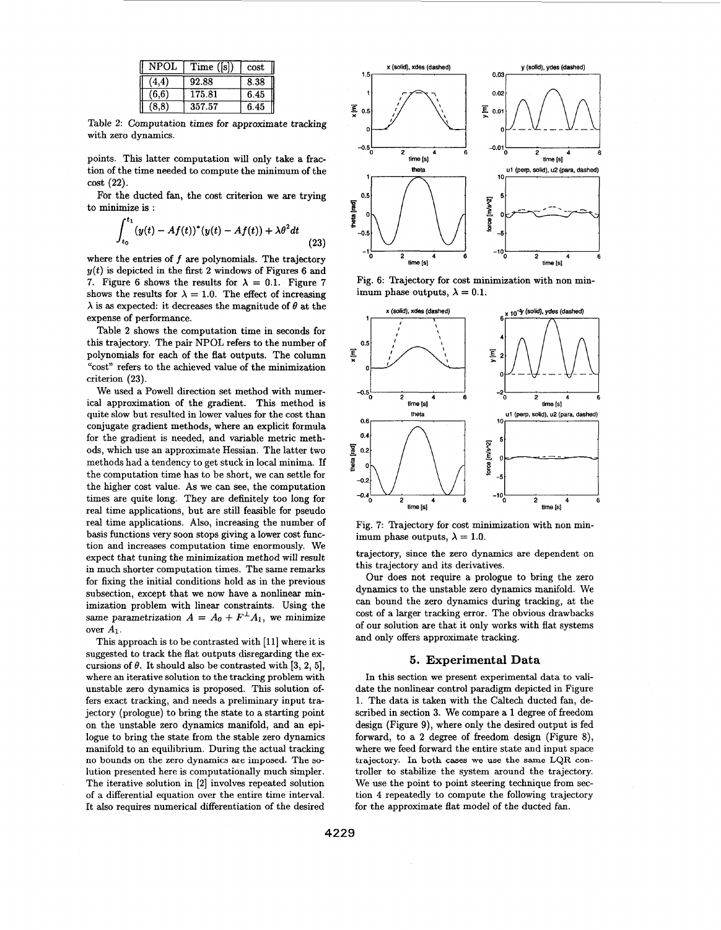| NPOL  | Time (s) | cost |
|-------|----------|------|
|       | 92.88    | 8.38 |
| (6.6) | 175.81   | 6.45 |
| (8.8) | 357.57   | 6.45 |

Table **2:** Computation times for approximate tracking with zero dynamics.

points. This latter computation will only take a fraction of the time needed to compute the minimum of the cost **(22).** 

For the ducted fan, the cost criterion we are trying to minimize is :

$$
\int_{t_0}^{t_1} (y(t) - Af(t))^*(y(t) - Af(t)) + \lambda \theta^2 dt
$$
\n(23)

where the entries of  $f$  are polynomials. The trajectory **y(t)** is depicted in the first **2** windows of Figures 6 and 7. Figure 6 shows the results for  $\lambda = 0.1$ . Figure 7 shows the results for  $\lambda = 1.0$ . The effect of increasing  $\lambda$  is as expected: it decreases the magnitude of  $\theta$  at the expense of performance.

Table **2** shows the computation time in seconds for this trajectory. The pair NPOL refers to the number of polynomials for each of the flat outputs. The column "cost" refers to the achieved value of the minimization criterion **(23).** 

We used a Powell direction set method with numerical approximation of the gradient. This method is quite slow but resulted in lower values for the cost than conjugate gradient methods, where an explicit formula for the gradient is needed, and variable metric methods, which use an approximate Hessian. The latter two methods had a tendency to get stuck in local minima. If the computation time has to be short, we can settle for the higher cost value. As we can see, the computation times are quite long. They are definitely too long for real time applications, but are still feasible for pseudo real time applications. Also, increasing the number of basis functions very soon stops giving a lower cost function and increases computation time enormously. We expect that tuning the minimization method will result in much shorter computation times. The same remarks for fixing the initial conditions hold **as** in the previous subsection, except that we now have a nonlinear minimization problem with linear constraints. Using the same parametrization  $A = A_0 + F^{\perp}A_1$ , we minimize over **AI.** 

This approach is to be contrasted with [11] where it is suggested to track the flat outputs disregarding the excursions of  $\theta$ . It should also be contrasted with [3, 2, 5], where an iterative solution to the tracking problem with unstable zero dynamics is proposed. This solution offers exact tracking, and needs a preliminary input trajectory (prologue) to bring the state to a starting point on the unstable zero dynamics manifold, and an epilogue to bring the state from the stable zero dynamics manifold to **an** equilibrium. During the actual tracking no bounds on **the zero** dynamics **are imposed. The** *so*lution presented here is computationally much simpler. The iterative solution in **[2]** involves repeated solution of a differential equation over the entire time interval. It also requires numerical differentiation of the desired



Fig. 6: Trajectory for cost minimization with non minimum phase outputs,  $\lambda = 0.1$ .



Fig. **7:** Trajectory for cost minimization with non minimum phase outputs,  $\lambda = 1.0$ .

trajectory, since the zero dynamics are dependent on this trajectory and its derivatives.

Our does not require a prologue to bring the zero dynamics to the unstable zero dynamics manifold. We can bound the zero dynamics during tracking, at the cost of a larger tracking error. The obvious drawbacks of **our** solution are that it only works with flat systems and only offers approximate tracking.

## **5. Experimental Data**

In this section we present experimental data to validate the nonlinear control paradigm depicted in Figure 1. The data is taken with the Caltech ducted fan, described in section **3.** We compare a l degree of freedom design (Figure **9),** where only the desired output is fed forward, to a **2** degree of freedom design (Figure 8), where we feed forward the entire state and input space **trajectory.** In **both cases we use the same** LQR **con**troller to stabilize the system around the trajectory. We use the point to point steering technique from section **4** repeatedly to compute the following trajectory for the approximate flat model of the ducted fan.